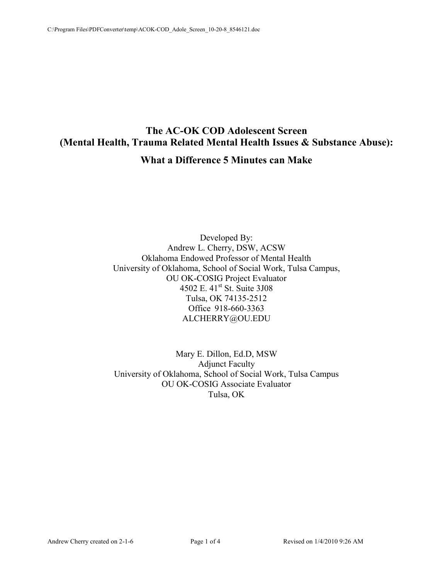## **The AC-OK COD Adolescent Screen (Mental Health, Trauma Related Mental Health Issues & Substance Abuse): What a Difference 5 Minutes can Make**

Developed By: Andrew L. Cherry, DSW, ACSW Oklahoma Endowed Professor of Mental Health University of Oklahoma, School of Social Work, Tulsa Campus, OU OK-COSIG Project Evaluator 4502 E. 41st St. Suite 3J08 Tulsa, OK 74135-2512 Office 918-660-3363 ALCHERRY@OU.EDU

Mary E. Dillon, Ed.D, MSW Adjunct Faculty University of Oklahoma, School of Social Work, Tulsa Campus OU OK-COSIG Associate Evaluator Tulsa, OK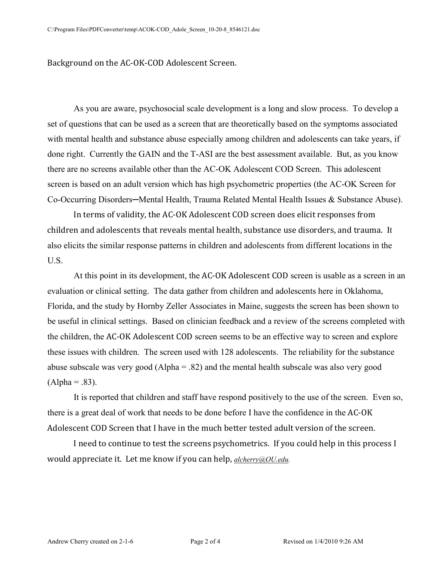Background on the AC-OK-COD Adolescent Screen.

 As you are aware, psychosocial scale development is a long and slow process. To develop a set of questions that can be used as a screen that are theoretically based on the symptoms associated with mental health and substance abuse especially among children and adolescents can take years, if done right. Currently the GAIN and the T-ASI are the best assessment available. But, as you know there are no screens available other than the AC-OK Adolescent COD Screen. This adolescent screen is based on an adult version which has high psychometric properties (the AC-OK Screen for Co-Occurring Disorders—Mental Health, Trauma Related Mental Health Issues & Substance Abuse).

 In terms of validity, the AC-OK Adolescent COD screen does elicit responses from children and adolescents that reveals mental health, substance use disorders, and trauma. It also elicits the similar response patterns in children and adolescents from different locations in the U.S.

 At this point in its development, the AC-OK Adolescent COD screen is usable as a screen in an evaluation or clinical setting. The data gather from children and adolescents here in Oklahoma, Florida, and the study by Hornby Zeller Associates in Maine, suggests the screen has been shown to be useful in clinical settings. Based on clinician feedback and a review of the screens completed with the children, the AC-OK Adolescent COD screen seems to be an effective way to screen and explore these issues with children. The screen used with 128 adolescents. The reliability for the substance abuse subscale was very good (Alpha = .82) and the mental health subscale was also very good  $(Alpha = .83)$ .

 It is reported that children and staff have respond positively to the use of the screen. Even so, there is a great deal of work that needs to be done before I have the confidence in the AC-OK Adolescent COD Screen that I have in the much better tested adult version of the screen.

 I need to continue to test the screens psychometrics. If you could help in this process I would appreciate it. Let me know if you can help, *alcherry@OU.edu.*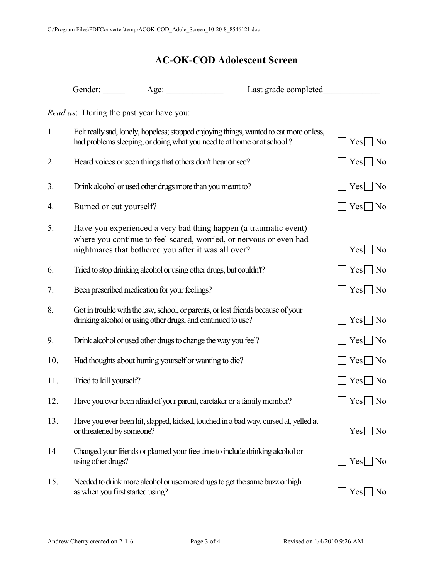## **AC-OK-COD Adolescent Screen**

|     |                                                | Gender: <u>Age:</u>                                                     | Last grade completed                                                                                                                   |                          |
|-----|------------------------------------------------|-------------------------------------------------------------------------|----------------------------------------------------------------------------------------------------------------------------------------|--------------------------|
|     | <i>Read as:</i> During the past year have you: |                                                                         |                                                                                                                                        |                          |
| 1.  |                                                | had problems sleeping, or doing what you need to at home or at school.? | Felt really sad, lonely, hopeless; stopped enjoying things, wanted to eat more or less,                                                | $Yes \mid No$            |
| 2.  |                                                | Heard voices or seen things that others don't hear or see?              |                                                                                                                                        | $Yes \mid No$            |
| 3.  |                                                | Drink alcohol or used other drugs more than you meant to?               |                                                                                                                                        | $Yes \nightharpoonup No$ |
| 4.  | Burned or cut yourself?                        |                                                                         |                                                                                                                                        | $Yes \Box No$            |
| 5.  |                                                | nightmares that bothered you after it was all over?                     | Have you experienced a very bad thing happen (a traumatic event)<br>where you continue to feel scared, worried, or nervous or even had | $Yes \mid No$            |
| 6.  |                                                | Tried to stop drinking alcohol or using other drugs, but couldn't?      |                                                                                                                                        | $Yes \nightharpoonup No$ |
| 7.  |                                                | Been prescribed medication for your feelings?                           |                                                                                                                                        | $Yes \mid No$            |
| 8.  |                                                | drinking alcohol or using other drugs, and continued to use?            | Got in trouble with the law, school, or parents, or lost friends because of your                                                       | $Yes$   No               |
| 9.  |                                                | Drink alcohol or used other drugs to change the way you feel?           |                                                                                                                                        | $Yes \mid No$            |
| 10. |                                                | Had thoughts about hurting yourself or wanting to die?                  |                                                                                                                                        | $Yes \mid No$            |
| 11. | Tried to kill yourself?                        |                                                                         |                                                                                                                                        | $Yes \mid No$            |
| 12. |                                                | Have you ever been afraid of your parent, caretaker or a family member? |                                                                                                                                        | $Yes \Box No$            |
| 13. | or threatened by someone?                      |                                                                         | Have you ever been hit, slapped, kicked, touched in a bad way, cursed at, yelled at                                                    | Yes<br>$\overline{N_0}$  |
| 14  | using other drugs?                             |                                                                         | Changed your friends or planned your free time to include drinking alcohol or                                                          | $Yes \mid No$            |
| 15. | as when you first started using?               |                                                                         | Needed to drink more alcohol or use more drugs to get the same buzz or high                                                            | Yes<br>N <sub>0</sub>    |